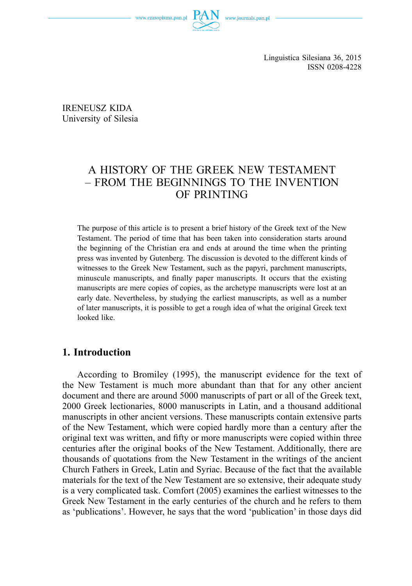

Linguistica Silesiana 36, 2015 ISSN 0208-4228

IRENEUSZ KIDA University of Silesia

# A HISTORY OF THE GREEK NEW TESTAMENT – FROM THE BEGINNINGS TO THE INVENTION OF PRINTING

The purpose of this article is to present a brief history of the Greek text of the New Testament. The period of time that has been taken into consideration starts around the beginning of the Christian era and ends at around the time when the printing press was invented by Gutenberg. The discussion is devoted to the different kinds of witnesses to the Greek New Testament, such as the papyri, parchment manuscripts, minuscule manuscripts, and finally paper manuscripts. It occurs that the existing manuscripts are mere copies of copies, as the archetype manuscripts were lost at an early date. Nevertheless, by studying the earliest manuscripts, as well as a number of later manuscripts, it is possible to get a rough idea of what the original Greek text looked like.

#### **1. Introduction**

According to Bromiley (1995), the manuscript evidence for the text of the New Testament is much more abundant than that for any other ancient document and there are around 5000 manuscripts of part or all of the Greek text, 2000 Greek lectionaries, 8000 manuscripts in Latin, and a thousand additional manuscripts in other ancient versions. These manuscripts contain extensive parts of the New Testament, which were copied hardly more than a century after the original text was written, and fifty or more manuscripts were copied within three centuries after the original books of the New Testament. Additionally, there are thousands of quotations from the New Testament in the writings of the ancient Church Fathers in Greek, Latin and Syriac. Because of the fact that the available materials for the text of the New Testament are so extensive, their adequate study is a very complicated task. Comfort (2005) examines the earliest witnesses to the Greek New Testament in the early centuries of the church and he refers to them as 'publications'. However, he says that the word 'publication' in those days did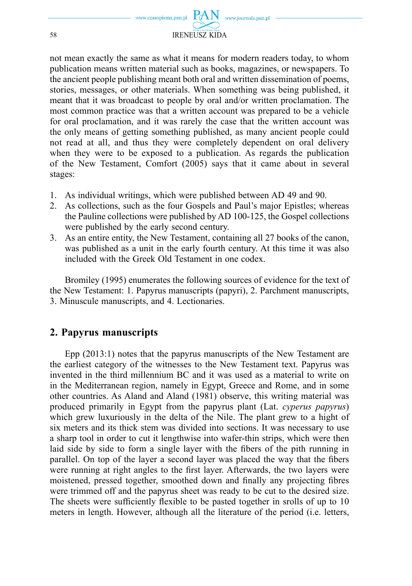

not mean exactly the same as what it means for modern readers today, to whom publication means written material such as books, magazines, or newspapers. To the ancient people publishing meant both oral and written dissemination of poems, stories, messages, or other materials. When something was being published, it meant that it was broadcast to people by oral and/or written proclamation. The most common practice was that a written account was prepared to be a vehicle for oral proclamation, and it was rarely the case that the written account was the only means of getting something published, as many ancient people could not read at all, and thus they were completely dependent on oral delivery when they were to be exposed to a publication. As regards the publication of the New Testament, Comfort (2005) says that it came about in several stages:

- 1. As individual writings, which were published between AD 49 and 90.
- 2. As collections, such as the four Gospels and Paul's major Epistles; whereas the Pauline collections were published by AD 100-125, the Gospel collections were published by the early second century.
- 3. As an entire entity, the New Testament, containing all 27 books of the canon, was published as a unit in the early fourth century. At this time it was also included with the Greek Old Testament in one codex.

Bromiley (1995) enumerates the following sources of evidence for the text of the New Testament: 1. Papyrus manuscripts (papyri), 2. Parchment manuscripts, 3. Minuscule manuscripts, and 4. Lectionaries.

## **2. Papyrus manuscripts**

Epp (2013:1) notes that the papyrus manuscripts of the New Testament are the earliest category of the witnesses to the New Testament text. Papyrus was invented in the third millennium BC and it was used as a material to write on in the Mediterranean region, namely in Egypt, Greece and Rome, and in some other countries. As Aland and Aland (1981) observe, this writing material was produced primarily in Egypt from the papyrus plant (Lat. *cyperus papyrus*) which grew luxuriously in the delta of the Nile. The plant grew to a hight of six meters and its thick stem was divided into sections. It was necessary to use a sharp tool in order to cut it lengthwise into wafer-thin strips, which were then laid side by side to form a single layer with the fibers of the pith running in parallel. On top of the layer a second layer was placed the way that the fibers were running at right angles to the first layer. Afterwards, the two layers were moistened, pressed together, smoothed down and finally any projecting fibres were trimmed off and the papyrus sheet was ready to be cut to the desired size. The sheets were sufficiently flexible to be pasted together in srolls of up to 10 meters in length. However, although all the literature of the period (i.e. letters,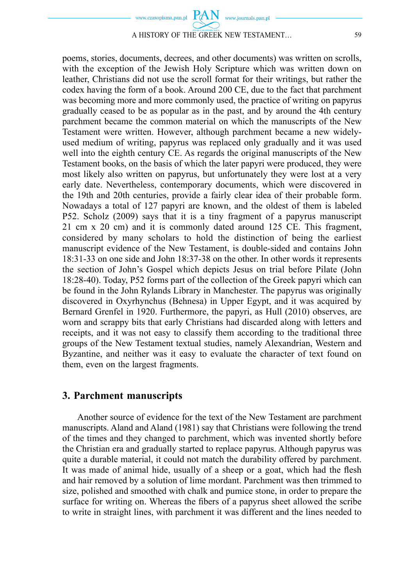

## A HISTORY OF THE GREEK NEW TESTAMENT… 59

poems, stories, documents, decrees, and other documents) was written on scrolls, with the exception of the Jewish Holy Scripture which was written down on leather, Christians did not use the scroll format for their writings, but rather the codex having the form of a book. Around 200 CE, due to the fact that parchment was becoming more and more commonly used, the practice of writing on papyrus gradually ceased to be as popular as in the past, and by around the 4th century parchment became the common material on which the manuscripts of the New Testament were written. However, although parchment became a new widelyused medium of writing, papyrus was replaced only gradually and it was used well into the eighth century CE. As regards the original manuscripts of the New Testament books, on the basis of which the later papyri were produced, they were most likely also written on papyrus, but unfortunately they were lost at a very early date. Nevertheless, contemporary documents, which were discovered in the 19th and 20th centuries, provide a fairly clear idea of their probable form. Nowadays a total of 127 papyri are known, and the oldest of them is labeled P52. Scholz (2009) says that it is a tiny fragment of a papyrus manuscript 21 cm x 20 cm) and it is commonly dated around 125 CE. This fragment, considered by many scholars to hold the distinction of being the earliest manuscript evidence of the New Testament, is double-sided and contains John 18:31-33 on one side and John 18:37-38 on the other. In other words it represents the section of John's Gospel which depicts Jesus on trial before Pilate (John 18:28-40). Today, P52 forms part of the collection of the Greek papyri which can be found in the John Rylands Library in Manchester. The papyrus was originally discovered in Oxyrhynchus (Behnesa) in Upper Egypt, and it was acquired by Bernard Grenfel in 1920. Furthermore, the papyri, as Hull (2010) observes, are worn and scrappy bits that early Christians had discarded along with letters and receipts, and it was not easy to classify them according to the traditional three groups of the New Testament textual studies, namely Alexandrian, Western and Byzantine, and neither was it easy to evaluate the character of text found on them, even on the largest fragments.

#### **3. Parchment manuscripts**

Another source of evidence for the text of the New Testament are parchment manuscripts. Aland and Aland (1981) say that Christians were following the trend of the times and they changed to parchment, which was invented shortly before the Christian era and gradually started to replace papyrus. Although papyrus was quite a durable material, it could not match the durability offered by parchment. It was made of animal hide, usually of a sheep or a goat, which had the flesh and hair removed by a solution of lime mordant. Parchment was then trimmed to size, polished and smoothed with chalk and pumice stone, in order to prepare the surface for writing on. Whereas the fibers of a papyrus sheet allowed the scribe to write in straight lines, with parchment it was different and the lines needed to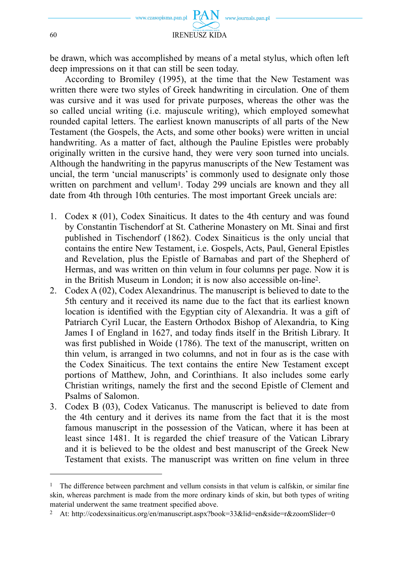

be drawn, which was accomplished by means of a metal stylus, which often left deep impressions on it that can still be seen today.

According to Bromiley (1995), at the time that the New Testament was written there were two styles of Greek handwriting in circulation. One of them was cursive and it was used for private purposes, whereas the other was the so called uncial writing (i.e. majuscule writing), which employed somewhat rounded capital letters. The earliest known manuscripts of all parts of the New Testament (the Gospels, the Acts, and some other books) were written in uncial handwriting. As a matter of fact, although the Pauline Epistles were probably originally written in the cursive hand, they were very soon turned into uncials. Although the handwriting in the papyrus manuscripts of the New Testament was uncial, the term 'uncial manuscripts' is commonly used to designate only those written on parchment and vellum<sup>1</sup>. Today 299 uncials are known and they all date from 4th through 10th centuries. The most important Greek uncials are:

- 1. Codex  $\mathbf{x}$  (01), Codex Sinaiticus. It dates to the 4th century and was found by Constantin Tischendorf at St. Catherine Monastery on Mt. Sinai and first published in Tischendorf (1862). Codex Sinaiticus is the only uncial that contains the entire New Testament, i.e. Gospels, Acts, Paul, General Epistles and Revelation, plus the Epistle of Barnabas and part of the Shepherd of Hermas, and was written on thin velum in four columns per page. Now it is in the British Museum in London; it is now also accessible on-line2.
- 2. Codex A (02), Codex Alexandrinus. The manuscript is believed to date to the 5th century and it received its name due to the fact that its earliest known location is identified with the Egyptian city of Alexandria. It was a gift of Patriarch Cyril Lucar, the Eastern Orthodox Bishop of Alexandria, to King James I of England in 1627, and today finds itself in the British Library. It was first published in Woide (1786). The text of the manuscript, written on thin velum, is arranged in two columns, and not in four as is the case with the Codex Sinaiticus. The text contains the entire New Testament except portions of Matthew, John, and Corinthians. It also includes some early Christian writings, namely the first and the second Epistle of Clement and Psalms of Salomon.
- 3. Codex B (03), Codex Vaticanus. The manuscript is believed to date from the 4th century and it derives its name from the fact that it is the most famous manuscript in the possession of the Vatican, where it has been at least since 1481. It is regarded the chief treasure of the Vatican Library and it is believed to be the oldest and best manuscript of the Greek New Testament that exists. The manuscript was written on fine velum in three

 $1$  The difference between parchment and vellum consists in that velum is calfskin, or similar fine skin, whereas parchment is made from the more ordinary kinds of skin, but both types of writing material underwent the same treatment specified above.

<sup>2</sup> At: http://codexsinaiticus.org/en/manuscript.aspx?book=33&lid=en&side=r&zoomSlider=0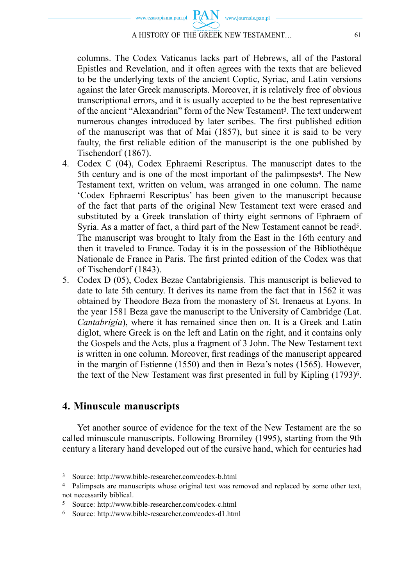

A HISTORY OF THE GREEK NEW TESTAMENT... 61

columns. The Codex Vaticanus lacks part of Hebrews, all of the Pastoral Epistles and Revelation, and it often agrees with the texts that are believed to be the underlying texts of the ancient Coptic, Syriac, and Latin versions against the later Greek manuscripts. Moreover, it is relatively free of obvious transcriptional errors, and it is usually accepted to be the best representative of the ancient "Alexandrian" form of the New Testament3. The text underwent numerous changes introduced by later scribes. The first published edition of the manuscript was that of Mai (1857), but since it is said to be very faulty, the first reliable edition of the manuscript is the one published by Tischendorf (1867).

- 4. Codex C (04), Codex Ephraemi Rescriptus. The manuscript dates to the 5th century and is one of the most important of the palimpsests4. The New Testament text, written on velum, was arranged in one column. The name 'Codex Ephraemi Rescriptus' has been given to the manuscript because of the fact that parts of the original New Testament text were erased and substituted by a Greek translation of thirty eight sermons of Ephraem of Syria. As a matter of fact, a third part of the New Testament cannot be read5. The manuscript was brought to Italy from the East in the 16th century and then it traveled to France. Today it is in the possession of the Bibliothèque Nationale de France in Paris. The first printed edition of the Codex was that of Tischendorf (1843).
- 5. Codex D (05), Codex Bezae Cantabrigiensis. This manuscript is believed to date to late 5th century. It derives its name from the fact that in 1562 it was obtained by Theodore Beza from the monastery of St. Irenaeus at Lyons. In the year 1581 Beza gave the manuscript to the University of Cambridge (Lat. *Cantabrigia*), where it has remained since then on. It is a Greek and Latin diglot, where Greek is on the left and Latin on the right, and it contains only the Gospels and the Acts, plus a fragment of 3 John. The New Testament text is written in one column. Moreover, first readings of the manuscript appeared in the margin of Estienne (1550) and then in Beza's notes (1565). However, the text of the New Testament was first presented in full by Kipling (1793)<sup>6</sup>.

## **4. Minuscule manuscripts**

Yet another source of evidence for the text of the New Testament are the so called minuscule manuscripts. Following Bromiley (1995), starting from the 9th century a literary hand developed out of the cursive hand, which for centuries had

<sup>3</sup> Source: http://www.bible-researcher.com/codex-b.html

<sup>4</sup> Palimpsets are manuscripts whose original text was removed and replaced by some other text, not necessarily biblical.

<sup>5</sup> Source: http://www.bible-researcher.com/codex-c.html

<sup>6</sup> Source: http://www.bible-researcher.com/codex-d1.html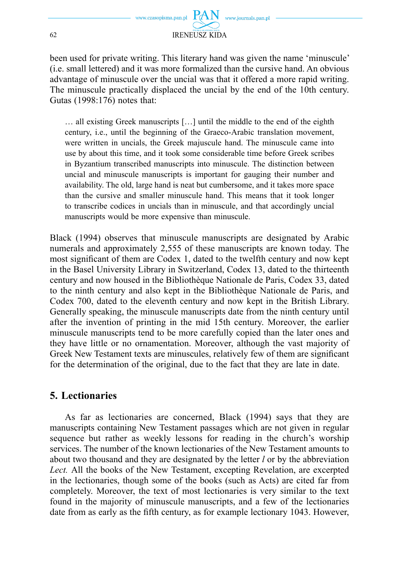www.journals.pan.pl 62 IRENEUSZ KIDA

been used for private writing. This literary hand was given the name 'minuscule' (i.e. small lettered) and it was more formalized than the cursive hand. An obvious advantage of minuscule over the uncial was that it offered a more rapid writing. The minuscule practically displaced the uncial by the end of the 10th century. Gutas (1998:176) notes that:

… all existing Greek manuscripts […] until the middle to the end of the eighth century, i.e., until the beginning of the Graeco-Arabic translation movement, were written in uncials, the Greek majuscule hand. The minuscule came into use by about this time, and it took some considerable time before Greek scribes in Byzantium transcribed manuscripts into minuscule. The distinction between uncial and minuscule manuscripts is important for gauging their number and availability. The old, large hand is neat but cumbersome, and it takes more space than the cursive and smaller minuscule hand. This means that it took longer to transcribe codices in uncials than in minuscule, and that accordingly uncial manuscripts would be more expensive than minuscule.

Black (1994) observes that minuscule manuscripts are designated by Arabic numerals and approximately 2,555 of these manuscripts are known today. The most significant of them are Codex 1, dated to the twelfth century and now kept in the Basel University Library in Switzerland, Codex 13, dated to the thirteenth century and now housed in the Bibliothèque Nationale de Paris, Codex 33, dated to the ninth century and also kept in the Bibliothèque Nationale de Paris, and Codex 700, dated to the eleventh century and now kept in the British Library. Generally speaking, the minuscule manuscripts date from the ninth century until after the invention of printing in the mid 15th century. Moreover, the earlier minuscule manuscripts tend to be more carefully copied than the later ones and they have little or no ornamentation. Moreover, although the vast majority of Greek New Testament texts are minuscules, relatively few of them are significant for the determination of the original, due to the fact that they are late in date.

## **5. Lectionaries**

As far as lectionaries are concerned, Black (1994) says that they are manuscripts containing New Testament passages which are not given in regular sequence but rather as weekly lessons for reading in the church's worship services. The number of the known lectionaries of the New Testament amounts to about two thousand and they are designated by the letter *l* or by the abbreviation *Lect.* All the books of the New Testament, excepting Revelation, are excerpted in the lectionaries, though some of the books (such as Acts) are cited far from completely. Moreover, the text of most lectionaries is very similar to the text found in the majority of minuscule manuscripts, and a few of the lectionaries date from as early as the fifth century, as for example lectionary 1043. However,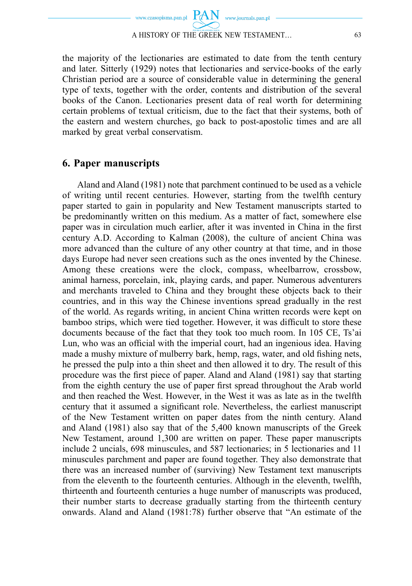

the majority of the lectionaries are estimated to date from the tenth century and later. Sitterly (1929) notes that lectionaries and service-books of the early Christian period are a source of considerable value in determining the general type of texts, together with the order, contents and distribution of the several books of the Canon. Lectionaries present data of real worth for determining certain problems of textual criticism, due to the fact that their systems, both of the eastern and western churches, go back to post-apostolic times and are all marked by great verbal conservatism.

#### **6. Paper manuscripts**

Aland and Aland (1981) note that parchment continued to be used as a vehicle of writing until recent centuries. However, starting from the twelfth century paper started to gain in popularity and New Testament manuscripts started to be predominantly written on this medium. As a matter of fact, somewhere else paper was in circulation much earlier, after it was invented in China in the first century A.D. According to Kalman (2008), the culture of ancient China was more advanced than the culture of any other country at that time, and in those days Europe had never seen creations such as the ones invented by the Chinese. Among these creations were the clock, compass, wheelbarrow, crossbow, animal harness, porcelain, ink, playing cards, and paper. Numerous adventurers and merchants traveled to China and they brought these objects back to their countries, and in this way the Chinese inventions spread gradually in the rest of the world. As regards writing, in ancient China written records were kept on bamboo strips, which were tied together. However, it was difficult to store these documents because of the fact that they took too much room. In 105 CE, Ts'ai Lun, who was an official with the imperial court, had an ingenious idea. Having made a mushy mixture of mulberry bark, hemp, rags, water, and old fishing nets, he pressed the pulp into a thin sheet and then allowed it to dry. The result of this procedure was the first piece of paper. Aland and Aland (1981) say that starting from the eighth century the use of paper first spread throughout the Arab world and then reached the West. However, in the West it was as late as in the twelfth century that it assumed a significant role. Nevertheless, the earliest manuscript of the New Testament written on paper dates from the ninth century. Aland and Aland (1981) also say that of the 5,400 known manuscripts of the Greek New Testament, around 1,300 are written on paper. These paper manuscripts include 2 uncials, 698 minuscules, and 587 lectionaries; in 5 lectionaries and 11 minuscules parchment and paper are found together. They also demonstrate that there was an increased number of (surviving) New Testament text manuscripts from the eleventh to the fourteenth centuries. Although in the eleventh, twelfth, thirteenth and fourteenth centuries a huge number of manuscripts was produced, their number starts to decrease gradually starting from the thirteenth century onwards. Aland and Aland (1981:78) further observe that "An estimate of the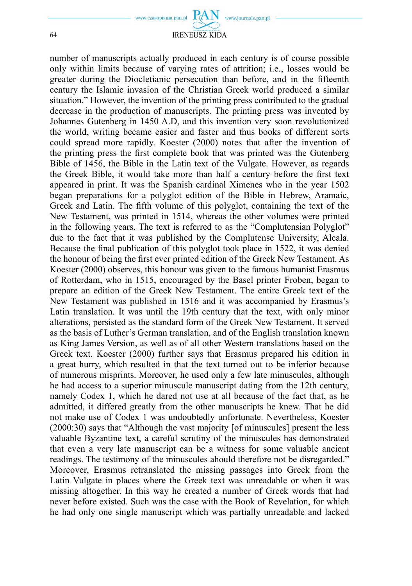

64 IRENEUSZ KIDA

number of manuscripts actually produced in each century is of course possible only within limits because of varying rates of attrition; i.e., losses would be greater during the Diocletianic persecution than before, and in the fifteenth century the Islamic invasion of the Christian Greek world produced a similar situation." However, the invention of the printing press contributed to the gradual decrease in the production of manuscripts. The printing press was invented by Johannes Gutenberg in 1450 A.D, and this invention very soon revolutionized the world, writing became easier and faster and thus books of different sorts could spread more rapidly. Koester (2000) notes that after the invention of the printing press the first complete book that was printed was the Gutenberg Bible of 1456, the Bible in the Latin text of the Vulgate. However, as regards the Greek Bible, it would take more than half a century before the first text appeared in print. It was the Spanish cardinal Ximenes who in the year 1502 began preparations for a polyglot edition of the Bible in Hebrew, Aramaic, Greek and Latin. The fifth volume of this polyglot, containing the text of the New Testament, was printed in 1514, whereas the other volumes were printed in the following years. The text is referred to as the "Complutensian Polyglot" due to the fact that it was published by the Complutense University, Alcala. Because the final publication of this polyglot took place in 1522, it was denied the honour of being the first ever printed edition of the Greek New Testament. As Koester (2000) observes, this honour was given to the famous humanist Erasmus of Rotterdam, who in 1515, encouraged by the Basel printer Froben, began to prepare an edition of the Greek New Testament. The entire Greek text of the New Testament was published in 1516 and it was accompanied by Erasmus's Latin translation. It was until the 19th century that the text, with only minor alterations, persisted as the standard form of the Greek New Testament. It served as the basis of Luther's German translation, and of the English translation known as King James Version, as well as of all other Western translations based on the Greek text. Koester (2000) further says that Erasmus prepared his edition in a great hurry, which resulted in that the text turned out to be inferior because of numerous misprints. Moreover, he used only a few late minuscules, although he had access to a superior minuscule manuscript dating from the 12th century, namely Codex 1, which he dared not use at all because of the fact that, as he admitted, it differed greatly from the other manuscripts he knew. That he did not make use of Codex 1 was undoubtedly unfortunate. Nevertheless, Koester (2000:30) says that "Although the vast majority [of minuscules] present the less valuable Byzantine text, a careful scrutiny of the minuscules has demonstrated that even a very late manuscript can be a witness for some valuable ancient readings. The testimony of the minuscules ahould therefore not be disregarded." Moreover, Erasmus retranslated the missing passages into Greek from the Latin Vulgate in places where the Greek text was unreadable or when it was missing altogether. In this way he created a number of Greek words that had never before existed. Such was the case with the Book of Revelation, for which he had only one single manuscript which was partially unreadable and lacked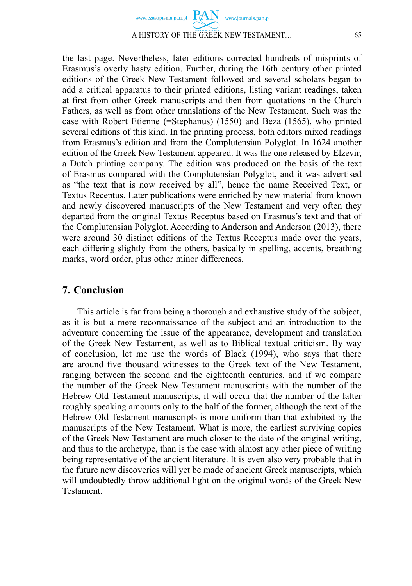

#### A HISTORY OF THE GREEK NEW TESTAMENT… 65

the last page. Nevertheless, later editions corrected hundreds of misprints of Erasmus's overly hasty edition. Further, during the 16th century other printed editions of the Greek New Testament followed and several scholars began to add a critical apparatus to their printed editions, listing variant readings, taken at first from other Greek manuscripts and then from quotations in the Church Fathers, as well as from other translations of the New Testament. Such was the case with Robert Etienne (=Stephanus) (1550) and Beza (1565), who printed several editions of this kind. In the printing process, both editors mixed readings from Erasmus's edition and from the Complutensian Polyglot. In 1624 another edition of the Greek New Testament appeared. It was the one released by Elzevir, a Dutch printing company. The edition was produced on the basis of the text of Erasmus compared with the Complutensian Polyglot, and it was advertised as "the text that is now received by all", hence the name Received Text, or Textus Receptus. Later publications were enriched by new material from known and newly discovered manuscripts of the New Testament and very often they departed from the original Textus Receptus based on Erasmus's text and that of the Complutensian Polyglot. According to Anderson and Anderson (2013), there were around 30 distinct editions of the Textus Receptus made over the years, each differing slightly from the others, basically in spelling, accents, breathing marks, word order, plus other minor differences.

#### **7. Conclusion**

This article is far from being a thorough and exhaustive study of the subject, as it is but a mere reconnaissance of the subject and an introduction to the adventure concerning the issue of the appearance, development and translation of the Greek New Testament, as well as to Biblical textual criticism. By way of conclusion, let me use the words of Black (1994), who says that there are around five thousand witnesses to the Greek text of the New Testament, ranging between the second and the eighteenth centuries, and if we compare the number of the Greek New Testament manuscripts with the number of the Hebrew Old Testament manuscripts, it will occur that the number of the latter roughly speaking amounts only to the half of the former, although the text of the Hebrew Old Testament manuscripts is more uniform than that exhibited by the manuscripts of the New Testament. What is more, the earliest surviving copies of the Greek New Testament are much closer to the date of the original writing, and thus to the archetype, than is the case with almost any other piece of writing being representative of the ancient literature. It is even also very probable that in the future new discoveries will yet be made of ancient Greek manuscripts, which will undoubtedly throw additional light on the original words of the Greek New Testament.